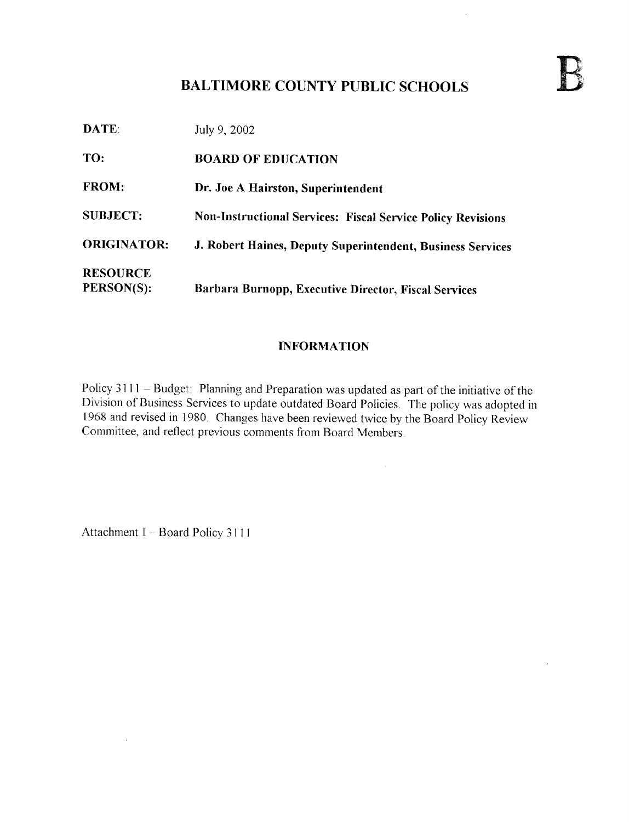## BALTIMORE COUNTY PUBLIC SCHOOLS

**DATE:** July 9, 2002 TO: BOARD OF EDUCATION FROM: Dr. Joe A Hairston, Superintendent SUBJECT: Non-Instructional Services: Fiscal Service Policy Revisions ORIGINATOR: J. Robert Haines, Deputy Superintendent, Business Services **RESOURCE**<br>PERSON(S): Barbara Burnopp, Executive Director, Fiscal Services

## INFORMATION

Policy 3111 - Budget: Planning and Preparation was updated as part of the initiative of the Division of Business Services to update outdated Board Policies . The policy was adopted in 1968 and revised in 1980. Changes have been reviewed twice by the Board Policy Review Committee, and reflect previous comments from Board Members.

Attachment I - Board Policy 3111

 $\bar{\lambda}$